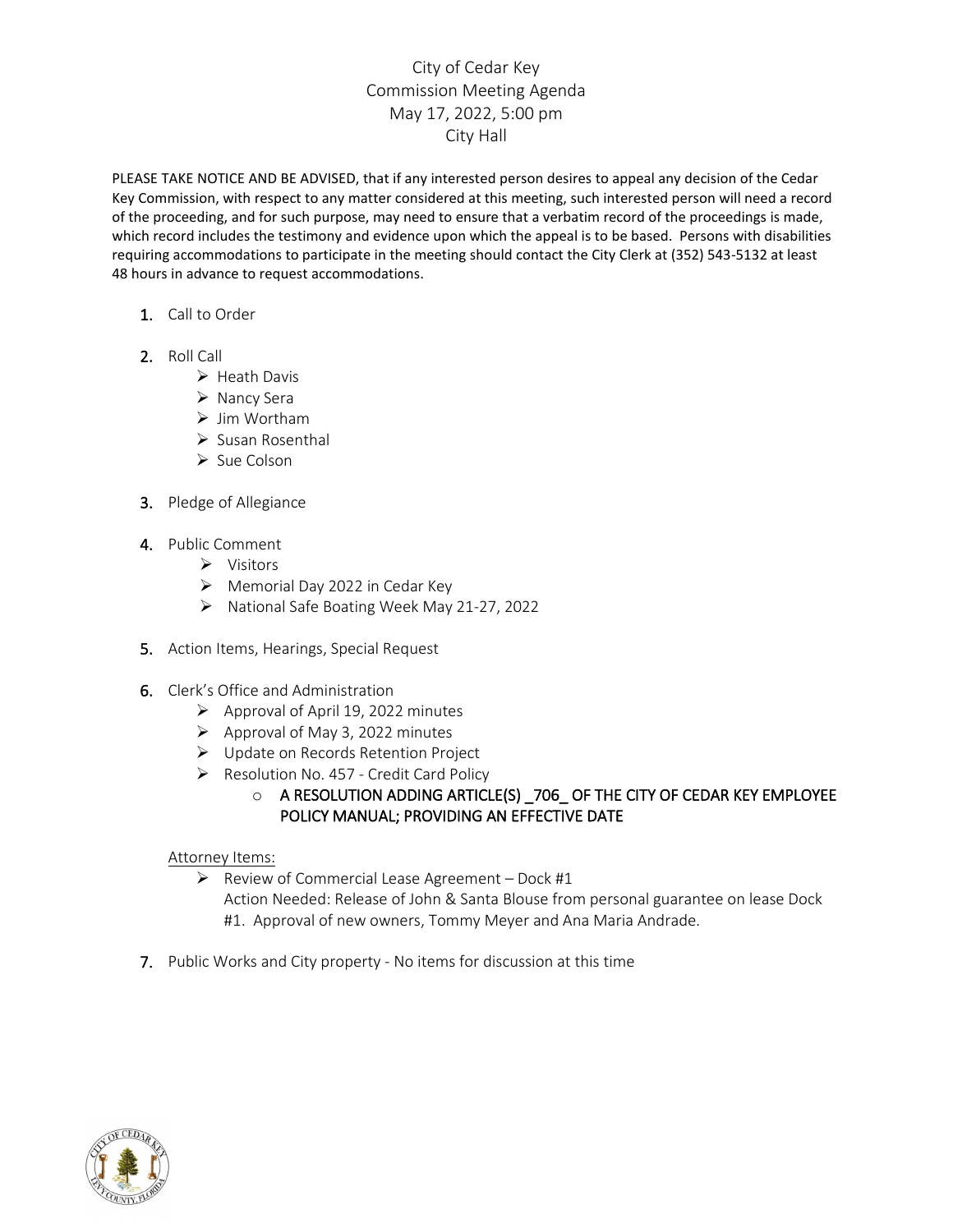## City of Cedar Key Commission Meeting Agenda May 17, 2022, 5:00 pm City Hall

PLEASE TAKE NOTICE AND BE ADVISED, that if any interested person desires to appeal any decision of the Cedar Key Commission, with respect to any matter considered at this meeting, such interested person will need a record of the proceeding, and for such purpose, may need to ensure that a verbatim record of the proceedings is made, which record includes the testimony and evidence upon which the appeal is to be based. Persons with disabilities requiring accommodations to participate in the meeting should contact the City Clerk at (352) 543-5132 at least 48 hours in advance to request accommodations.

- 1. Call to Order
- 2. Roll Call
	- $\triangleright$  Heath Davis
	- $\triangleright$  Nancy Sera
	- $\triangleright$  Jim Wortham
	- $\triangleright$  Susan Rosenthal
	- $\triangleright$  Sue Colson
- 3. Pledge of Allegiance
- 4. Public Comment
	- **▶** Visitors
	- $\triangleright$  Memorial Day 2022 in Cedar Key
	- National Safe Boating Week May 21-27, 2022
- 5. Action Items, Hearings, Special Request
- 6. Clerk's Office and Administration
	- $\triangleright$  Approval of April 19, 2022 minutes
	- $\triangleright$  Approval of May 3, 2022 minutes
	- Update on Records Retention Project
	- $\triangleright$  Resolution No. 457 Credit Card Policy

## o A RESOLUTION ADDING ARTICLE(S) \_706\_ OF THE CITY OF CEDAR KEY EMPLOYEE POLICY MANUAL; PROVIDING AN EFFECTIVE DATE

## Attorney Items:

- $\triangleright$  Review of Commercial Lease Agreement Dock #1 Action Needed: Release of John & Santa Blouse from personal guarantee on lease Dock #1. Approval of new owners, Tommy Meyer and Ana Maria Andrade.
- 7. Public Works and City property No items for discussion at this time